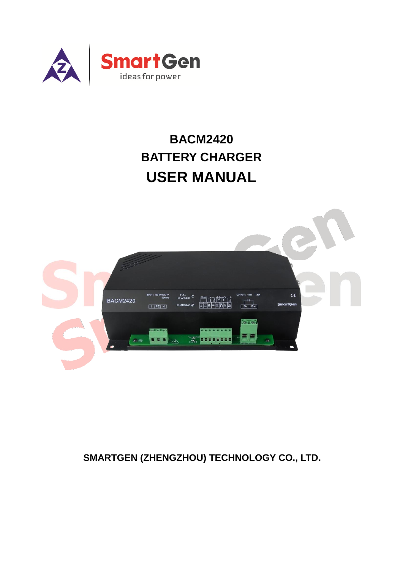

# **BACM2420 BATTERY CHARGER USER MANUAL**



# **SMARTGEN (ZHENGZHOU) TECHNOLOGY CO., LTD.**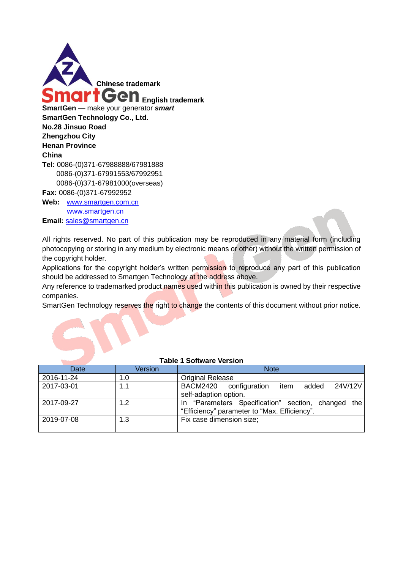

**Web:** [www.smartgen.com.cn](http://www.smartgen.com.cn/) [www.smartgen.cn](http://www.smartgen.cn/) Email: [sales@smartgen.cn](mailto:sales@smartgen.cn)

All rights reserved. No part of this publication may be reproduced in any material form (including photocopying or storing in any medium by electronic means or other) without the written permission of the copyright holder.

Applications for the copyright holder's written permission to reproduce any part of this publication should be addressed to Smartgen Technology at the address above.

Any reference to trademarked product names used within this publication is owned by their respective companies.

SmartGen Technology reserves the right to change the contents of this document without prior notice.

| Date       | Version | <b>Note</b>                                                                                        |  |  |  |  |
|------------|---------|----------------------------------------------------------------------------------------------------|--|--|--|--|
| 2016-11-24 | 1.0     | <b>Original Release</b>                                                                            |  |  |  |  |
| 2017-03-01 | 1.1     | 24V/12V<br>BACM2420 configuration<br>added<br>item<br>self-adaption option.                        |  |  |  |  |
| 2017-09-27 | 1.2     | In "Parameters Specification" section, changed the<br>"Efficiency" parameter to "Max. Efficiency". |  |  |  |  |
| 2019-07-08 | 1.3     | Fix case dimension size;                                                                           |  |  |  |  |
|            |         |                                                                                                    |  |  |  |  |

#### **Table 1 Software Version**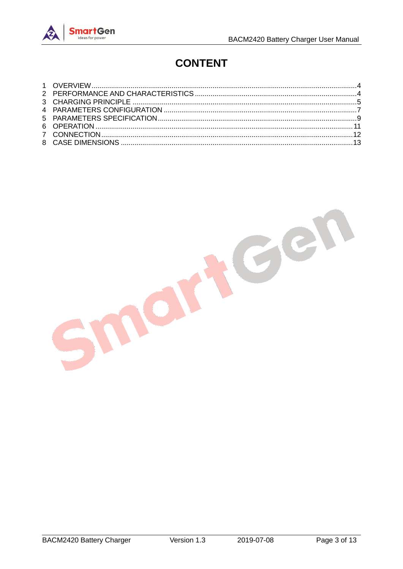# **CONTENT**

nort Gen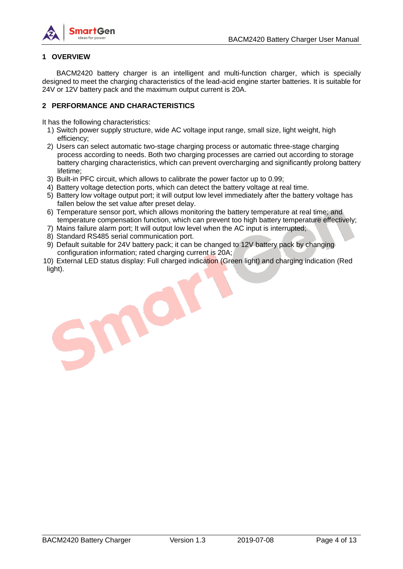

#### <span id="page-3-0"></span>**1 OVERVIEW**

BACM2420 battery charger is an intelligent and multi-function charger, which is specially designed to meet the charging characteristics of the lead-acid engine starter batteries. It is suitable for 24V or 12V battery pack and the maximum output current is 20A.

#### <span id="page-3-1"></span>**2 PERFORMANCE AND CHARACTERISTICS**

It has the following characteristics:

- 1) Switch power supply structure, wide AC voltage input range, small size, light weight, high efficiency;
- 2) Users can select automatic two-stage charging process or automatic three-stage charging process according to needs. Both two charging processes are carried out according to storage battery charging characteristics, which can prevent overcharging and significantly prolong battery lifetime;
- 3) Built-in PFC circuit, which allows to calibrate the power factor up to 0.99;

O

- 4) Battery voltage detection ports, which can detect the battery voltage at real time.
- 5) Battery low voltage output port; it will output low level immediately after the battery voltage has fallen below the set value after preset delay.
- 6) Temperature sensor port, which allows monitoring the battery temperature at real time; and temperature compensation function, which can prevent too high battery temperature effectively;
- 7) Mains failure alarm port; It will output low level when the AC input is interrupted;
- 8) Standard RS485 serial communication port.
- 9) Default suitable for 24V battery pack; it can be changed to 12V battery pack by changing configuration information; rated charging current is 20A;
- 10) External LED status display: Full charged indication (Green light) and charging indication (Red light).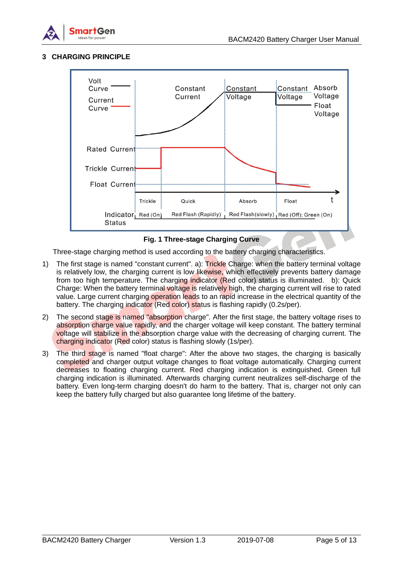

## <span id="page-4-0"></span>**3 CHARGING PRINCIPLE**



### **Fig. 1 Three-stage Charging Curve**

Three-stage charging method is used according to the battery charging characteristics.

- 1) The first stage is named "constant current". a): Trickle Charge: when the battery terminal voltage is relatively low, the charging current is low likewise, which effectively prevents battery damage from too high temperature. The charging indicator (Red color) status is illuminated. b): Quick Charge: When the battery terminal voltage is relatively high, the charging current will rise to rated value. Large current charging operation leads to an rapid increase in the electrical quantity of the battery. The charging indicator (Red color) status is flashing rapidly (0.2s/per).
- 2) The second stage is named "absorption charge". After the first stage, the battery voltage rises to absorption charge value rapidly, and the charger voltage will keep constant. The battery terminal voltage will stabilize in the absorption charge value with the decreasing of charging current. The charging indicator (Red color) status is flashing slowly (1s/per).
- 3) The third stage is named "float charge": After the above two stages, the charging is basically completed and charger output voltage changes to float voltage automatically. Charging current decreases to floating charging current. Red charging indication is extinguished. Green full charging indication is illuminated. Afterwards charging current neutralizes self-discharge of the battery. Even long-term charging doesn't do harm to the battery. That is, charger not only can keep the battery fully charged but also guarantee long lifetime of the battery.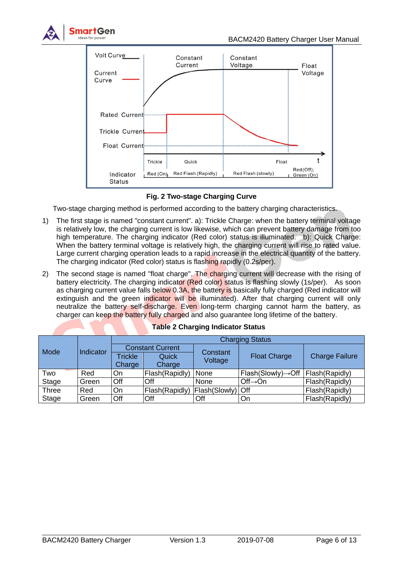



**Fig. 2 Two-stage Charging Curve**

Two-stage charging method is performed according to the battery charging characteristics.

- 1) The first stage is named "constant current". a): Trickle Charge: when the battery terminal voltage is relatively low, the charging current is low likewise, which can prevent battery damage from too high temperature. The charging indicator (Red color) status is illuminated. b): Quick Charge: When the battery terminal voltage is relatively high, the charging current will rise to rated value. Large current charging operation leads to a rapid increase in the electrical quantity of the battery. The charging indicator (Red color) status is flashing rapidly (0.2s/per).
- 2) The second stage is named "float charge". The charging current will decrease with the rising of battery electricity. The charging indicator (Red color) status is flashing slowly (1s/per). As soon as charging current value falls below 0.3A, the battery is basically fully charged (Red indicator will extinguish and the green indicator will be illuminated). After that charging current will only neutralize the battery self-discharge. Even long-term charging cannot harm the battery, as charger can keep the battery fully charged and also guarantee long lifetime of the battery.

<span id="page-5-0"></span>

|              |           | <b>Charging Status</b>  |                   |                    |                                 |                       |  |  |
|--------------|-----------|-------------------------|-------------------|--------------------|---------------------------------|-----------------------|--|--|
| <b>Mode</b>  | Indicator | <b>Constant Current</b> |                   | Constant           |                                 |                       |  |  |
|              |           | <b>Trickle</b>          | Quick             |                    | <b>Float Charge</b>             | <b>Charge Failure</b> |  |  |
|              |           | Charge                  | Voltage<br>Charge |                    |                                 |                       |  |  |
| Two          | Red       | On                      | Flash(Rapidly)    | None               | $Flash(Slowly) \rightarrow Off$ | Flash (Rapidly)       |  |  |
| Stage        | Green     | Off                     | Off               | None               | $Off \rightarrow On$            | Flash(Rapidly)        |  |  |
| <b>Three</b> | Red       | On                      | Flash(Rapidly)    | Flash(Slowly)  Off |                                 | Flash(Rapidly)        |  |  |
| Stage        | Green     | Off                     | Off               | Off                | On                              | Flash(Rapidly)        |  |  |

|  | <b>Table 2 Charging Indicator Status</b> |  |
|--|------------------------------------------|--|
|  |                                          |  |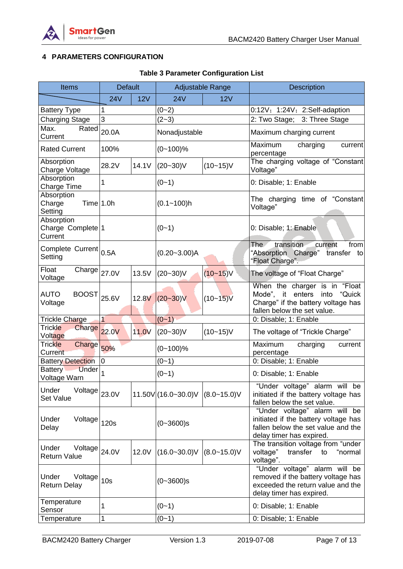

# **4 PARAMETERS CONFIGURATION**

| <b>Items</b>                                                   | <b>Default</b>  |           | Adjustable Range     |                  | Description                                                                                                                              |  |
|----------------------------------------------------------------|-----------------|-----------|----------------------|------------------|------------------------------------------------------------------------------------------------------------------------------------------|--|
|                                                                | <b>24V</b>      | 12V       | <b>24V</b>           | 12V              |                                                                                                                                          |  |
| <b>Battery Type</b>                                            | 1               |           | $(0 - 2)$            |                  | 0:12V; 1:24V; 2:Self-adaption                                                                                                            |  |
| <b>Charging Stage</b>                                          | 3               |           | $(2-3)$              |                  | 2: Two Stage; 3: Three Stage                                                                                                             |  |
| Rated<br>Max.<br>Current                                       | 20.0A           |           | Nonadjustable        |                  | Maximum charging current                                                                                                                 |  |
| <b>Rated Current</b>                                           | 100%            |           | $(0 - 100)$ %        |                  | Maximum<br>charging<br>current<br>percentage                                                                                             |  |
| Absorption<br>Charge Voltage                                   | 28.2V           | 14.1V     | $(20 - 30)$ V        | $(10 - 15)V$     | The charging voltage of "Constant<br>Voltage"                                                                                            |  |
| Absorption<br>Charge Time                                      | 1               |           | $(0-1)$              |                  | 0: Disable; 1: Enable                                                                                                                    |  |
| Absorption<br>Time 1.0h<br>Charge<br>Setting                   |                 |           | $(0.1 - 100)h$       |                  | The charging time of "Constant<br>Voltage"                                                                                               |  |
| Absorption<br>Charge Complete <sup>1</sup><br>Current          |                 |           | $(0-1)$              |                  | 0: Disable; 1: Enable                                                                                                                    |  |
| Complete Current<br>Setting                                    | 0.5A            |           | $(0.20 - 3.00)$ A    |                  | transition<br>The<br>from<br>current<br>"Absorption Charge"<br>transfer<br>to<br>"Float Charge".                                         |  |
| Float<br>$\overline{\text{Change}} _{27.0\text{V}}$<br>Voltage |                 | 13.5V     | $(20 - 30)V$         | $(10 - 15)V$     | The voltage of "Float Charge"                                                                                                            |  |
| BOOST<br><b>AUTO</b><br>Voltage                                | 25.6V           | 12.8V     | $(20 - 30)V$         | $(10 - 15)V$     | When the charger is in<br>"Float<br>"Quick<br>Mode", it enters into<br>Charge" if the battery voltage has<br>fallen below the set value. |  |
| Trickle Charge                                                 | $\mathbf{1}$    |           | $(0 - 1)$            |                  | 0: Disable; 1: Enable                                                                                                                    |  |
| Trickle<br>Charge 22.0V<br>Voltage                             |                 | 11.0V     | $(20 - 30)V$         | $(10 - 15)V$     | The voltage of "Trickle Charge"                                                                                                          |  |
| <b>Trickle</b><br>Charge<br>Current                            | 50%             |           | $(0 - 100)$ %        |                  | Maximum<br>charging<br>current<br>percentage                                                                                             |  |
| <b>Battery Detection</b>                                       | 0               |           | $(0 - 1)$            |                  | 0: Disable; 1: Enable                                                                                                                    |  |
| <b>Battery</b><br><b>Under</b><br>Voltage Warn                 |                 |           | $(0 - 1)$            |                  | 0: Disable; 1: Enable                                                                                                                    |  |
| Under<br>Voltage 23.0V<br>Set Value                            |                 |           | 11.50V (16.0~30.0) V | $(8.0 - 15.0)$ V | "Under voltage" alarm will be<br>initiated if the battery voltage has<br>fallen below the set value.                                     |  |
| Under<br>Voltage 120s<br>Delay                                 |                 |           | $(0 - 3600)s$        |                  | "Under voltage" alarm will be<br>initiated if the battery voltage has<br>fallen below the set value and the<br>delay timer has expired.  |  |
| Under<br>Voltage<br><b>Return Value</b>                        | 24.0V           | 12.0V     | $(16.0 - 30.0)$ V    | $(8.0 - 15.0)$ V | The transition voltage from "under<br>voltage"<br>transfer<br>"normal<br>to<br>voltage".                                                 |  |
| Under<br>Voltage<br><b>Return Delay</b>                        | 10 <sub>s</sub> |           | $(0 - 3600)s$        |                  | "Under voltage" alarm will be<br>removed if the battery voltage has<br>exceeded the return value and the<br>delay timer has expired.     |  |
| Temperature<br>Sensor                                          | 1               | $(0 - 1)$ |                      |                  | 0: Disable; 1: Enable                                                                                                                    |  |
| Temperature                                                    | 1               |           | $(0 - 1)$            |                  | 0: Disable; 1: Enable                                                                                                                    |  |

# **Table 3 Parameter Configuration List**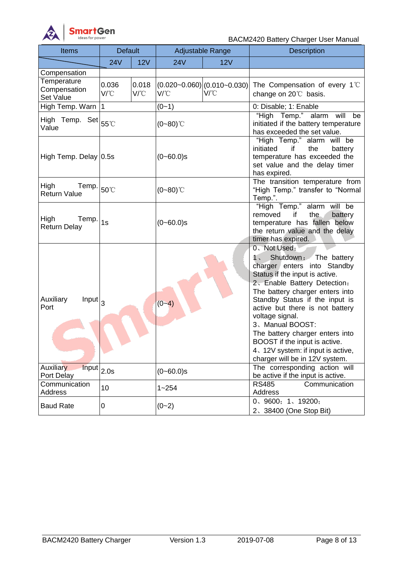

BACM2420 Battery Charger User Manual

| <b>Items</b>                                              | <b>Default</b>        |                       | Adjustable Range |                                                     | Description                                                                                                                                                                                                                                                                                                                                                                                                                           |  |
|-----------------------------------------------------------|-----------------------|-----------------------|------------------|-----------------------------------------------------|---------------------------------------------------------------------------------------------------------------------------------------------------------------------------------------------------------------------------------------------------------------------------------------------------------------------------------------------------------------------------------------------------------------------------------------|--|
|                                                           | <b>24V</b>            | 12V                   | 24V              | 12V                                                 |                                                                                                                                                                                                                                                                                                                                                                                                                                       |  |
| Compensation                                              |                       |                       |                  |                                                     |                                                                                                                                                                                                                                                                                                                                                                                                                                       |  |
| Temperature<br>Compensation<br>Set Value                  | 0.036<br>$V^{\circ}C$ | 0.018<br>$V^{\circ}C$ | V/°C             | $(0.020 - 0.060)$ $(0.010 - 0.030)$<br>$V^{\circ}C$ | The Compensation of every 1°C<br>change on 20°C basis.                                                                                                                                                                                                                                                                                                                                                                                |  |
| High Temp. Warn                                           | $\mathbf{1}$          |                       | $(0 - 1)$        |                                                     | 0: Disable; 1: Enable                                                                                                                                                                                                                                                                                                                                                                                                                 |  |
| High Temp. Set $ 55^{\circ}$ C<br>Value                   |                       |                       | $(0 - 80)$ °C    |                                                     | "High Temp." alarm will be<br>initiated if the battery temperature<br>has exceeded the set value.                                                                                                                                                                                                                                                                                                                                     |  |
| High Temp. Delay 0.5s                                     |                       |                       | $(0 - 60.0)s$    |                                                     | "High Temp." alarm will be<br>initiated<br>if<br>the<br>battery<br>temperature has exceeded the<br>set value and the delay timer<br>has expired.                                                                                                                                                                                                                                                                                      |  |
| High<br>Temp.<br><b>Return Value</b>                      | 50°C                  |                       | $(0 - 80)$ °C    |                                                     | The transition temperature from<br>"High Temp." transfer to "Normal<br>Temp.".                                                                                                                                                                                                                                                                                                                                                        |  |
| High<br>Temp.<br><b>Return Delay</b>                      | 1s                    |                       | $(0 - 60.0)$ s   |                                                     | "High Temp." alarm will be<br>the.<br>if<br>battery<br>removed<br>temperature has fallen below<br>the return value and the delay<br>timer has expired.                                                                                                                                                                                                                                                                                |  |
| Auxiliary<br>Input  <sub>3</sub><br>Port                  |                       |                       | $(0 - 4)$        |                                                     | 0、Not Used;<br>Shutdown: The battery<br>1.<br>charger enters into Standby<br>Status if the input is active.<br>2. Enable Battery Detection:<br>The battery charger enters into<br>Standby Status if the input is<br>active but there is not battery<br>voltage signal.<br>3、Manual BOOST:<br>The battery charger enters into<br>BOOST if the input is active.<br>4, 12V system: if input is active,<br>charger will be in 12V system. |  |
| Auxiliary<br>$\overline{\text{Input}}$ 2.0s<br>Port Delay |                       |                       | $(0 - 60.0)s$    |                                                     | The corresponding action will<br>be active if the input is active.                                                                                                                                                                                                                                                                                                                                                                    |  |
| Communication<br>Address                                  | 10                    |                       | $1 - 254$        |                                                     | <b>RS485</b><br>Communication<br>Address                                                                                                                                                                                                                                                                                                                                                                                              |  |
| <b>Baud Rate</b>                                          | 0                     |                       | $(0 - 2)$        |                                                     | 0, 9600; 1, 19200;<br>2、38400 (One Stop Bit)                                                                                                                                                                                                                                                                                                                                                                                          |  |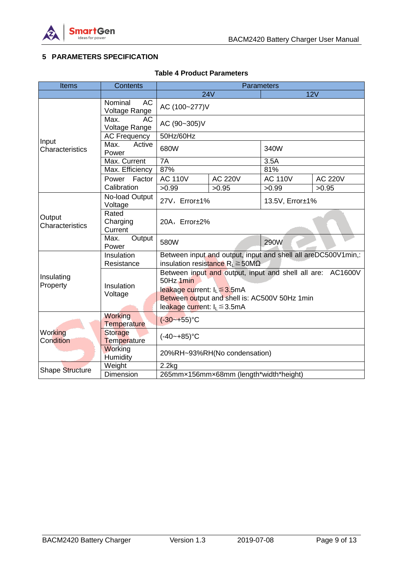

# <span id="page-8-0"></span>**5 PARAMETERS SPECIFICATION**

## **Table 4 Product Parameters**

| <b>Items</b>              | <b>Contents</b>                    | <b>Parameters</b> |                                                                                                                                                                                                            |                                                               |                |  |
|---------------------------|------------------------------------|-------------------|------------------------------------------------------------------------------------------------------------------------------------------------------------------------------------------------------------|---------------------------------------------------------------|----------------|--|
|                           |                                    | 24V               |                                                                                                                                                                                                            |                                                               | 12V            |  |
|                           | Nominal<br>AC<br>Voltage Range     | AC (100~277)V     |                                                                                                                                                                                                            |                                                               |                |  |
|                           | Max.<br><b>AC</b><br>Voltage Range | AC (90~305)V      |                                                                                                                                                                                                            |                                                               |                |  |
|                           | <b>AC Frequency</b>                | 50Hz/60Hz         |                                                                                                                                                                                                            |                                                               |                |  |
| Input<br>Characteristics  | Max.<br>Active<br>Power            | 680W              |                                                                                                                                                                                                            | 340W                                                          |                |  |
|                           | Max. Current                       | 7A                |                                                                                                                                                                                                            | 3.5A                                                          |                |  |
|                           | Max. Efficiency                    | 87%               |                                                                                                                                                                                                            | 81%                                                           |                |  |
|                           | Power<br>Factor                    | <b>AC 110V</b>    | <b>AC 220V</b>                                                                                                                                                                                             | <b>AC 110V</b>                                                | <b>AC 220V</b> |  |
|                           | Calibration                        | >0.99             | >0.95                                                                                                                                                                                                      | >0.99                                                         | >0.95          |  |
|                           | No-load Output<br>Voltage          | 27V, Error±1%     |                                                                                                                                                                                                            | 13.5V, Error±1%                                               |                |  |
| Output<br>Characteristics | Rated<br>Charging<br>Current       | 20A, Error±2%     |                                                                                                                                                                                                            |                                                               |                |  |
|                           | Max.<br>Output<br>Power            | 580W              |                                                                                                                                                                                                            | 290W                                                          |                |  |
|                           | Insulation<br>Resistance           |                   | insulation resistance $R_L \ge 50M\Omega$                                                                                                                                                                  | Between input and output, input and shell all areDC500V1min,: |                |  |
| Insulating<br>Property    | Insulation<br>Voltage              |                   | Between input and output, input and shell all are: AC1600V<br>50Hz 1min<br>leakage current: $I_L \leq 3.5 \text{mA}$<br>Between output and shell is: AC500V 50Hz 1min<br>leakage current: $I_L \leq 3.5mA$ |                                                               |                |  |
|                           | Working<br><b>Temperature</b>      | $(-30 - 55)$ °C   |                                                                                                                                                                                                            |                                                               |                |  |
| Working<br>Condition      | Storage<br>Temperature             | $(-40 - +85)$ °C  |                                                                                                                                                                                                            |                                                               |                |  |
|                           | Working<br>Humidity                |                   | 20%RH~93%RH(No condensation)                                                                                                                                                                               |                                                               |                |  |
| Shape Structure           | Weight                             | 2.2kg             |                                                                                                                                                                                                            |                                                               |                |  |
|                           | Dimension                          |                   | 265mmx156mmx68mm (length*width*height)                                                                                                                                                                     |                                                               |                |  |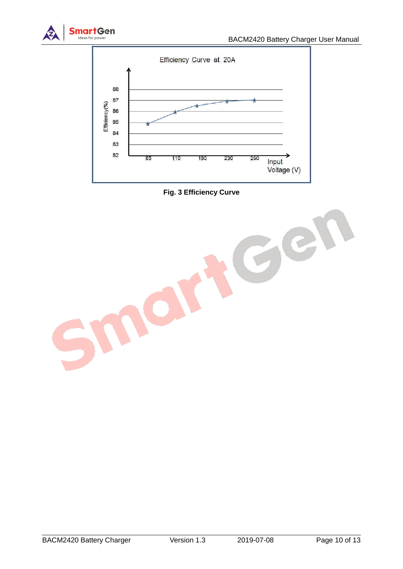





IO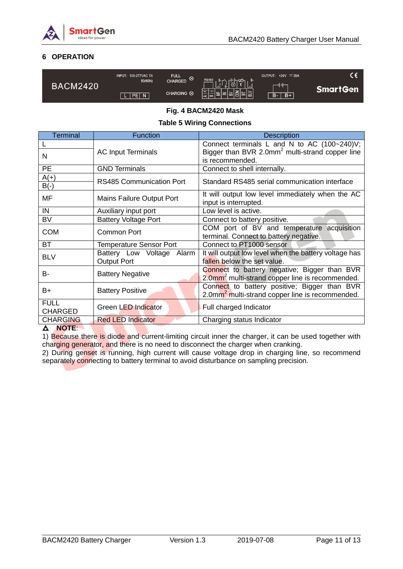

# <span id="page-10-0"></span>**6 OPERATION**

| <b>BACM2420</b> | <b>INPUT: 100-277VAC 7A</b><br>50/60Hz | <b>FULL</b><br>CHARGED <sup><sup>8</sup></sup> | RS485                    | OUTPUT: +24V == 20A |                 |
|-----------------|----------------------------------------|------------------------------------------------|--------------------------|---------------------|-----------------|
|                 |                                        |                                                | $\frac{1}{2}$<br>LJ<br>_ | <b>ANT</b>          | <b>SmartGen</b> |
|                 | PEN                                    | CHARGING 8                                     | $ \tau $<br>- 1ന         | $B+$<br>$B -$       |                 |

## **Fig. 4 BACM2420 Mask**

## **Table 5 Wiring Connections**

| <b>Terminal</b> | Function                        | <b>Description</b>                                                        |
|-----------------|---------------------------------|---------------------------------------------------------------------------|
|                 |                                 | Connect terminals L and N to AC (100~240)V;                               |
| N               | <b>AC Input Terminals</b>       | Bigger than BVR 2.0mm <sup>2</sup> multi-strand copper line               |
|                 |                                 | is recommended.                                                           |
| <b>PE</b>       | <b>GND Terminals</b>            | Connect to shell internally.                                              |
| $A(+)$          | <b>RS485 Communication Port</b> | Standard RS485 serial communication interface                             |
| $B(-)$          |                                 |                                                                           |
| MF              | Mains Failure Output Port       | It will output low level immediately when the AC<br>input is interrupted. |
| IN              | Auxiliary input port            | Low level is active.                                                      |
| <b>BV</b>       | <b>Battery Voltage Port</b>     | Connect to battery positive.                                              |
| <b>COM</b>      | Common Port                     | COM port of BV and temperature acquisition                                |
|                 |                                 | terminal. Connect to battery negative.                                    |
| <b>BT</b>       | <b>Temperature Sensor Port</b>  | Connect to PT1000 sensor                                                  |
| <b>BLV</b>      | Battery Low Voltage<br>Alarm    | It will output low level when the battery voltage has                     |
|                 | <b>Output Port</b>              | fallen below the set value.                                               |
| B-              | <b>Battery Negative</b>         | Connect to battery negative; Bigger than BVR                              |
|                 |                                 | 2.0mm <sup>2</sup> multi-strand copper line is recommended.               |
| B+              | <b>Battery Positive</b>         | Connect to battery positive; Bigger than BVR                              |
|                 |                                 | 2.0mm <sup>2</sup> multi-strand copper line is recommended.               |
| <b>FULL</b>     | Green LED Indicator             | Full charged Indicator                                                    |
| <b>CHARGED</b>  |                                 |                                                                           |
| <b>CHARGING</b> | <b>Red LED Indicator</b>        | Charging status Indicator                                                 |

#### **NOTE**:

1) Because there is diode and current-limiting circuit inner the charger, it can be used together with charging generator, and there is no need to disconnect the charger when cranking.

2) During genset is running, high current will cause voltage drop in charging line, so recommend separately connecting to battery terminal to avoid disturbance on sampling precision.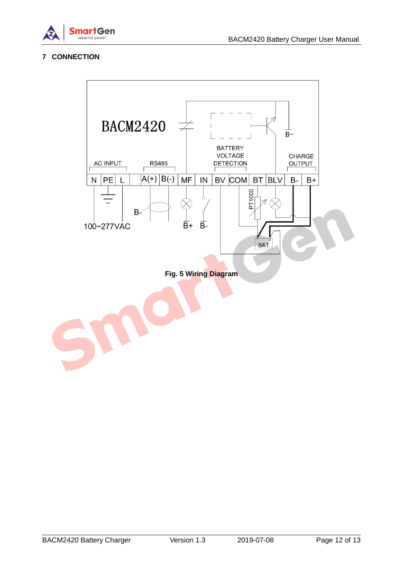

# <span id="page-11-0"></span>**7 CONNECTION**